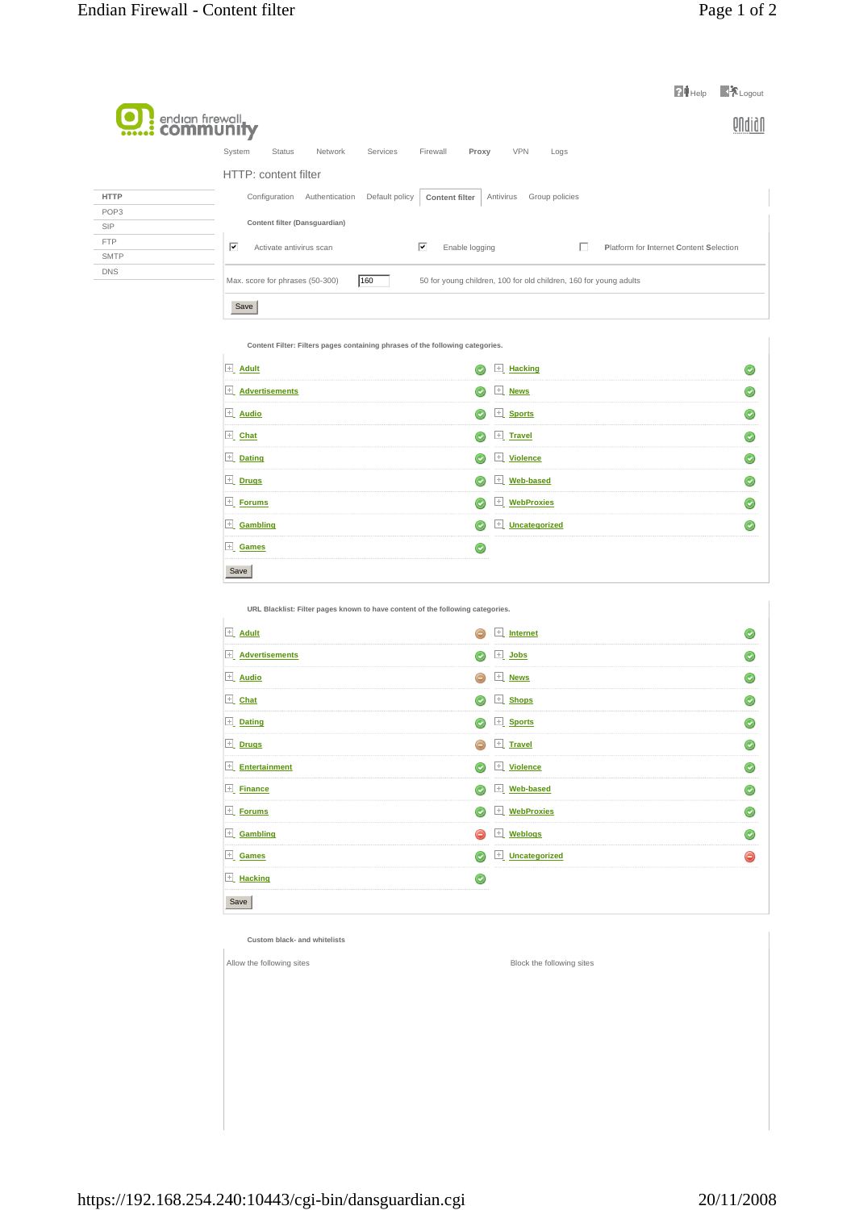| <b>U.</b> : endign firewall |                                                                                                                   | $24$ Help<br>$\blacksquare$ Logout      |  |
|-----------------------------|-------------------------------------------------------------------------------------------------------------------|-----------------------------------------|--|
|                             | System<br><b>Status</b><br>Network<br>Services<br>Firewall<br><b>VPN</b><br>Proxy<br>Logs<br>HTTP: content filter |                                         |  |
| <b>HTTP</b>                 | Antivirus<br>Configuration<br>Authentication<br>Default policy<br>Group policies<br><b>Content filter</b>         |                                         |  |
| POP <sub>3</sub>            | Content filter (Dansguardian)                                                                                     |                                         |  |
| <b>SIP</b><br><b>FTP</b>    |                                                                                                                   |                                         |  |
| <b>SMTP</b>                 | $\overline{\mathbf{v}}$<br>⊽<br>Activate antivirus scan<br>Enable logging                                         | Platform for Internet Content Selection |  |
| <b>DNS</b>                  | 160<br>Max. score for phrases (50-300)<br>50 for young children, 100 for old children, 160 for young adults       |                                         |  |
|                             | Save                                                                                                              |                                         |  |

**Content Filter: Filters pages containing phrases of the following categories.** 

| $\pm$ Adult             | $\mathbb{E}$ Hacking                      |  |
|-------------------------|-------------------------------------------|--|
| $\pm$ Advertisements    | $\pm$ News<br>$_{\odot}$                  |  |
| $\mathbf{u}$ Audio      | $\pm$ Sports<br>$\left(\downarrow\right)$ |  |
| $\boxed{\pm}$ Chat      | $+$ Travel<br>$\odot$                     |  |
| $\pm$ Dating            | $\pm$ Violence                            |  |
| $\boxed{\pm}$ Drugs     | $\blacksquare$ Web-based<br>$_{\odot}$    |  |
| $E$ Forums              | <b>WebProxies</b><br>÷                    |  |
| $\overline{+}$ Gambling | $\overline{+}$ Uncategorized<br>۰         |  |
| $\pm$ Games             |                                           |  |
| Save                    |                                           |  |

**URL Blacklist: Filter pages known to have content of the following categories.** 

| $\boxed{+}$ Adult          |            | $\mathbb{E}$ Internet |           |
|----------------------------|------------|-----------------------|-----------|
| $\boxed{+}$ Advertisements | ◉          | $\boxed{\pm}$ Jobs    | $\bullet$ |
| $\boxed{\pm}$ Audio        | e          | $\boxed{\pm}$ News    | O         |
| $\mathbb{E}$ Chat          | $_{\odot}$ | E Shops               | O         |
| $\boxed{\pm}$ Dating       | $_{\odot}$ | E Sports              | O         |
| $\boxed{\pm}$ Drugs        |            | $\boxed{\pm}$ Travel  |           |
| $\mathbb{H}$ Entertainment | O          | $\mathbb{E}$ Violence | O         |
| $\mathbb{E}$ Finance       | ◎          | Veb-based             | $\odot$   |
| $\mathbb{E}$ Forums        | O          | E WebProxies          | O         |
| $\boxed{\pm}$ Gambling     | e          | $\mathbb{E}$ Weblogs  | O         |
| $\mathbf{E}$ Games         | $\odot$    | Uncategorized         | ⊝         |
| $\pm$ Hacking              |            |                       |           |
| Save                       |            |                       |           |

**Custom black- and whitelists** 

Allow the following sites **Block** the following sites